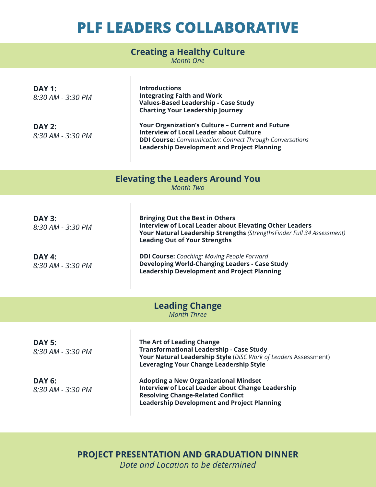## **PLF LEADERS COLLABORATIVE**

#### **Creating a Healthy Culture**

*Month One*

| <b>DAY 1:</b><br>8:30 AM - 3:30 PM<br><b>DAY 2:</b><br>8:30 AM - 3:30 PM | <b>Introductions</b><br><b>Integrating Faith and Work</b><br>Values-Based Leadership - Case Study<br><b>Charting Your Leadership Journey</b><br>Your Organization's Culture - Current and Future<br><b>Interview of Local Leader about Culture</b><br><b>DDI Course:</b> Communication: Connect Through Conversations<br><b>Leadership Development and Project Planning</b> |  |
|--------------------------------------------------------------------------|-----------------------------------------------------------------------------------------------------------------------------------------------------------------------------------------------------------------------------------------------------------------------------------------------------------------------------------------------------------------------------|--|
| <b>Elevating the Leaders Around You</b><br><b>Month Two</b>              |                                                                                                                                                                                                                                                                                                                                                                             |  |
|                                                                          |                                                                                                                                                                                                                                                                                                                                                                             |  |
| <b>DAY 3:</b><br>8:30 AM - 3:30 PM                                       | <b>Bringing Out the Best in Others</b><br><b>Interview of Local Leader about Elevating Other Leaders</b><br>Your Natural Leadership Strengths (StrengthsFinder Full 34 Assessment)<br><b>Leading Out of Your Strengths</b>                                                                                                                                                  |  |
| <b>DAY 4:</b><br>8:30 AM - 3:30 PM                                       | <b>DDI Course:</b> Coaching: Moving People Forward<br><b>Developing World-Changing Leaders - Case Study</b><br><b>Leadership Development and Project Planning</b>                                                                                                                                                                                                           |  |
| <b>Leading Change</b><br><b>Month Three</b>                              |                                                                                                                                                                                                                                                                                                                                                                             |  |
|                                                                          |                                                                                                                                                                                                                                                                                                                                                                             |  |
| <b>DAY 5:</b><br>8:30 AM - 3:30 PM                                       | The Art of Leading Change<br><b>Transformational Leadership - Case Study</b><br>Your Natural Leadership Style (DiSC Work of Leaders Assessment)<br><b>Leveraging Your Change Leadership Style</b>                                                                                                                                                                           |  |
| <b>DAY 6:</b><br>8:30 AM - 3:30 PM                                       | <b>Adopting a New Organizational Mindset</b><br><b>Interview of Local Leader about Change Leadership</b><br><b>Resolving Change-Related Conflict</b><br><b>Leadership Development and Project Planning</b>                                                                                                                                                                  |  |

#### **PROJECT PRESENTATION AND GRADUATION DINNER** *Date and Location to be determined*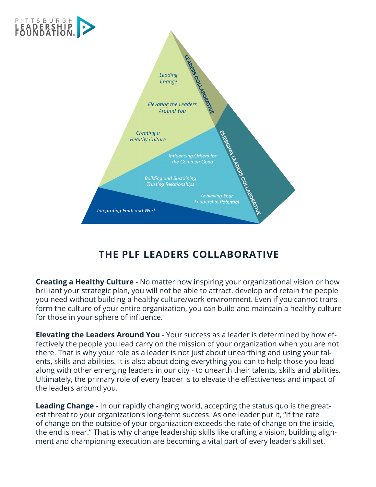

### **THE PLF LEADERS COLLABORATIVE**

**Creating a Healthy Culture** - No matter how inspiring your organizational vision or how brilliant your strategic plan, you will not be able to attract, develop and retain the people you need without building a healthy culture/work environment. Even if you cannot transform the culture of your entire organization, you can build and maintain a healthy culture for those in your sphere of infuence.

**Elevating the Leaders Around You** - Your success as a leader is determined by how effectively the people you lead carry on the mission of your organization when you are not there. That is why your role as a leader is not just about unearthing and using your talents, skills and abilities. It is also about doing everything you can to help those you lead – along with other emerging leaders in our city - to unearth their talents, skills and abilities. Ultimately, the primary role of every leader is to elevate the efectiveness and impact of the leaders around you.

**Leading Change** - In our rapidly changing world, accepting the status quo is the greatest threat to your organization's long-term success. As one leader put it, "If the rate of change on the outside of your organization exceeds the rate of change on the inside, the end is near." That is why change leadership skills like crafting a vision, building alignment and championing execution are becoming a vital part of every leader's skill set.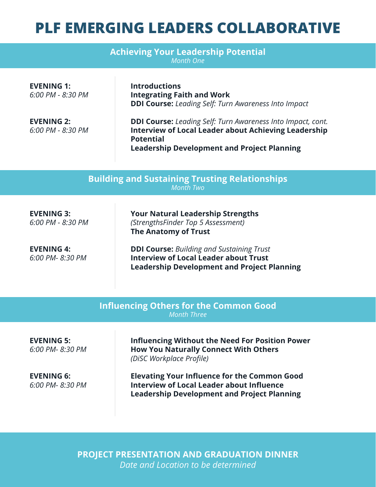# **PLF EMERGING LEADERS COLLABORATIVE**

| <b>Achieving Your Leadership Potential</b><br><b>Month One</b> |                                                                                                                                                                                                             |
|----------------------------------------------------------------|-------------------------------------------------------------------------------------------------------------------------------------------------------------------------------------------------------------|
| <b>EVENING 1:</b><br>6:00 PM - 8:30 PM                         | <b>Introductions</b><br><b>Integrating Faith and Work</b><br><b>DDI Course:</b> Leading Self: Turn Awareness Into Impact                                                                                    |
| <b>EVENING 2:</b><br>6:00 PM - 8:30 PM                         | <b>DDI Course:</b> Leading Self: Turn Awareness Into Impact, cont.<br><b>Interview of Local Leader about Achieving Leadership</b><br><b>Potential</b><br><b>Leadership Development and Project Planning</b> |

**Building and Sustaining Trusting Relationships** *Month Two*

**EVENING 3:** *6:00 PM - 8:30 PM*

**EVENING 4:** *6:00 PM- 8:30 PM* **Your Natural Leadership Strengths** *(StrengthsFinder Top 5 Assessment)*  **The Anatomy of Trust**

**DDI Course:** *Building and Sustaining Trust* **Interview of Local Leader about Trust Leadership Development and Project Planning**

| <b>Influencing Others for the Common Good</b><br><b>Month Three</b> |                                                                                                                                                               |  |
|---------------------------------------------------------------------|---------------------------------------------------------------------------------------------------------------------------------------------------------------|--|
| <b>EVENING 5:</b><br>6:00 PM-8:30 PM                                | <b>Influencing Without the Need For Position Power</b><br><b>How You Naturally Connect With Others</b><br>(DiSC Workplace Profile)                            |  |
| <b>EVENING 6:</b><br>6:00 PM-8:30 PM                                | <b>Elevating Your Influence for the Common Good</b><br><b>Interview of Local Leader about Influence</b><br><b>Leadership Development and Project Planning</b> |  |

**PROJECT PRESENTATION AND GRADUATION DINNER** *Date and Location to be determined*